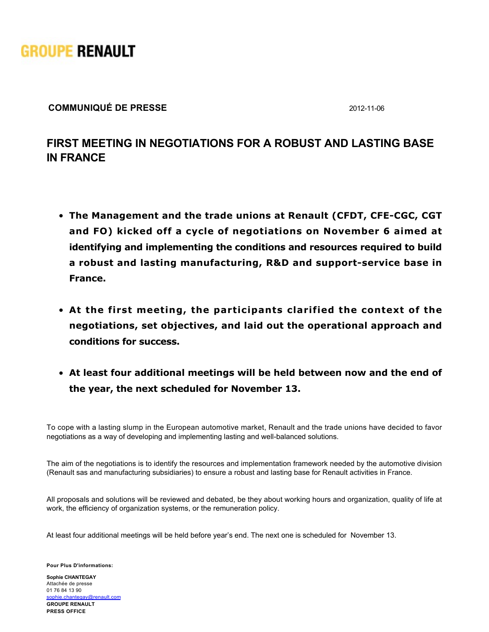

## **COMMUNIQUÉ DE PRESSE** 20121106

## **FIRST MEETING IN NEGOTIATIONS FOR A ROBUST AND LASTING BASE IN FRANCE**

- **The Management and the trade unions at Renault (CFDT, CFE-CGC, CGT and FO) kicked off a cycle of negotiations on November 6 aimed at identifying and implementing the conditions and resources required to build** a robust and lasting manufacturing, R&D and support-service base in **France.**
- **At the first meeting, the participants clarified the context of the negotiations, set objectives, and laid out the operational approach and conditions for success.**
- **At least four additional meetings will be held between now and the end of the year, the next scheduled for November 13.**

To cope with a lasting slump in the European automotive market, Renault and the trade unions have decided to favor negotiations as a way of developing and implementing lasting and well-balanced solutions.

The aim of the negotiations is to identify the resources and implementation framework needed by the automotive division (Renault sas and manufacturing subsidiaries) to ensure a robust and lasting base for Renault activities in France.

All proposals and solutions will be reviewed and debated, be they about working hours and organization, quality of life at work, the efficiency of organization systems, or the remuneration policy.

At least four additional meetings will be held before year's end. The next one is scheduled for November 13.

**Pour Plus D'informations:**

**GROUPE RENAULT PRESS OFFICE Sophie CHANTEGAY** Attachée de presse 01 76 84 13 90 [sophie.chantegay@renault.com](mailto: sophie.chantegay@renault.com)